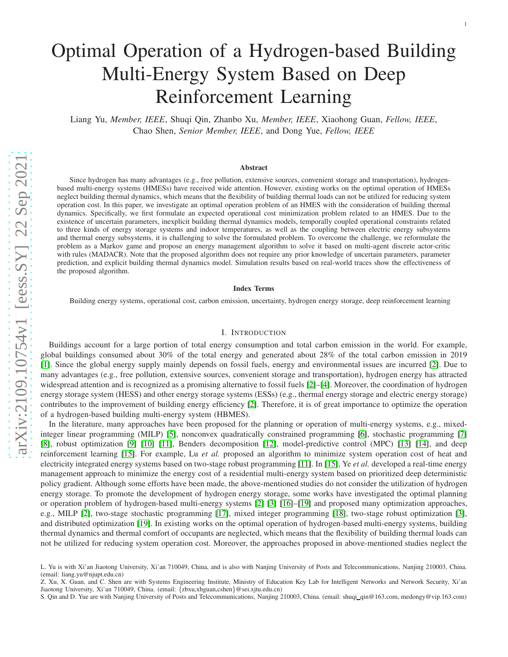# Optimal Operation of a Hydrogen-based Building Multi-Energy System Based on Deep Reinforcement Learning

1

Liang Yu, *Member, IEEE*, Shuqi Qin, Zhanbo Xu, *Member, IEEE*, Xiaohong Guan, *Fellow, IEEE*, Chao Shen, *Senior Member, IEEE*, and Dong Yue, *Fellow, IEEE*

#### Abstract

Since hydrogen has many advantages (e.g., free pollution, extensive sources, convenient storage and transportation), hydrogenbased multi-energy systems (HMESs) have received wide attention. However, existing works on the optimal operation of HMESs neglect building thermal dynamics, which means that the flexibility of building thermal loads can not be utilized for reducing system operation cost. In this paper, we investigate an optimal operation problem of an HMES with the consideration of building thermal dynamics. Specifically, we first formulate an expected operational cost minimization problem related to an HMES. Due to the existence of uncertain parameters, inexplicit building thermal dynamics models, temporally coupled operational constraints related to three kinds of energy storage systems and indoor temperatures, as well as the coupling between electric energy subsystems and thermal energy subsystems, it is challenging to solve the formulated problem. To overcome the challenge, we reformulate the problem as a Markov game and propose an energy management algorithm to solve it based on multi-agent discrete actor-critic with rules (MADACR). Note that the proposed algorithm does not require any prior knowledge of uncertain parameters, parameter prediction, and explicit building thermal dynamics model. Simulation results based on real-world traces show the effectiveness of the proposed algorithm.

#### Index Terms

Building energy systems, operational cost, carbon emission, uncertainty, hydrogen energy storage, deep reinforcement learning

## I. INTRODUCTION

Buildings account for a large portion of total energy consumption and total carbon emission in the world. For example, global buildings consumed about 30% of the total energy and generated about 28% of the total carbon emission in 2019 [\[1\]](#page-12-0). Since the global energy supply mainly depends on fossil fuels, energy and environmental issues are incurred [\[2\]](#page-12-1). Due to many advantages (e.g., free pollution, extensive sources, convenient storage and transportation), hydrogen energy has attracted widespread attention and is recognized as a promising alternative to fossil fuels [\[2\]](#page-12-1)–[\[4\]](#page-12-2). Moreover, the coordination of hydrogen energy storage system (HESS) and other energy storage systems (ESSs) (e.g., thermal energy storage and electric energy storage) contributes to the improvement of building energy efficiency [\[2\]](#page-12-1). Therefore, it is of great importance to optimize the operation of a hydrogen-based building multi-energy system (HBMES).

In the literature, many approaches have been proposed for the planning or operation of multi-energy systems, e.g., mixedinteger linear programming (MILP) [\[5\]](#page-12-3), nonconvex quadratically constrained programming [\[6\]](#page-12-4), stochastic programming [\[7\]](#page-12-5) [\[8\]](#page-12-6), robust optimization [\[9\]](#page-12-7) [\[10\]](#page-12-8) [\[11\]](#page-12-9), Benders decomposition [\[12\]](#page-12-10), model-predictive control (MPC) [\[13\]](#page-12-11) [\[14\]](#page-12-12), and deep reinforcement learning [\[15\]](#page-12-13). For example, Lu *et al.* proposed an algorithm to minimize system operation cost of heat and electricity integrated energy systems based on two-stage robust programming [\[11\]](#page-12-9). In [\[15\]](#page-12-13), Ye *et al.* developed a real-time energy management approach to minimize the energy cost of a residential multi-energy system based on prioritized deep deterministic policy gradient. Although some efforts have been made, the above-mentioned studies do not consider the utilization of hydrogen energy storage. To promote the development of hydrogen energy storage, some works have investigated the optimal planning or operation problem of hydrogen-based multi-energy systems [\[2\]](#page-12-1) [\[3\]](#page-12-14) [\[16\]](#page-12-15)–[\[19\]](#page-12-16) and proposed many optimization approaches, e.g., MILP [\[2\]](#page-12-1), two-stage stochastic programming [\[17\]](#page-12-17), mixed integer programming [\[18\]](#page-12-18), two-stage robust optimization [\[3\]](#page-12-14), and distributed optimization [\[19\]](#page-12-16). In existing works on the optimal operation of hydrogen-based multi-energy systems, building thermal dynamics and thermal comfort of occupants are neglected, which means that the flexibility of building thermal loads can not be utilized for reducing system operation cost. Moreover, the approaches proposed in above-mentioned studies neglect the

L. Yu is with Xi'an Jiaotong University, Xi'an 710049, China, and is also with Nanjing University of Posts and Telecommunications, Nanjing 210003, China. (email: liang.yu@njupt.edu.cn)

Z. Xu, X. Guan, and C. Shen are with Systems Engineering Institute, Ministry of Education Key Lab for Intelligent Networks and Network Security, Xi'an Jiaotong University, Xi'an 710049, China. (email: {zbxu,xhguan,cshen}@sei.xjtu.edu.cn)

S. Qin and D. Yue are with Nanjing University of Posts and Telecommunications, Nanjing 210003, China. (email: shuqi qin@163.com, medongy@vip.163.com)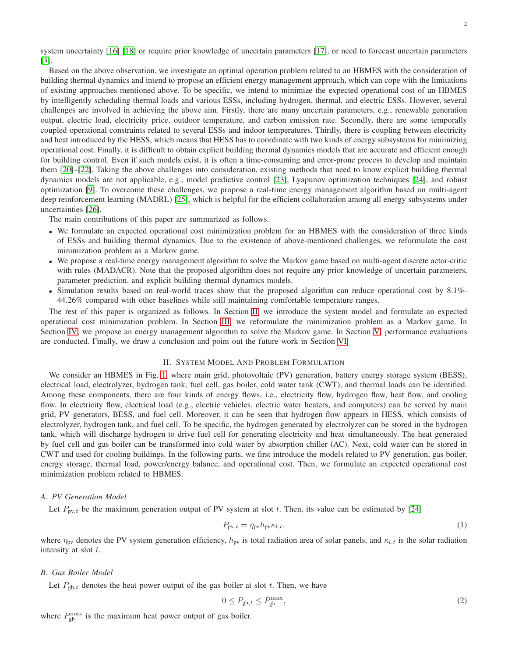system uncertainty [\[16\]](#page-12-15) [\[18\]](#page-12-18) or require prior knowledge of uncertain parameters [\[17\]](#page-12-17), or need to forecast uncertain parameters [\[3\]](#page-12-14).

Based on the above observation, we investigate an optimal operation problem related to an HBMES with the consideration of building thermal dynamics and intend to propose an efficient energy management approach, which can cope with the limitations of existing approaches mentioned above. To be specific, we intend to minimize the expected operational cost of an HBMES by intelligently scheduling thermal loads and various ESSs, including hydrogen, thermal, and electric ESSs. However, several challenges are involved in achieving the above aim. Firstly, there are many uncertain parameters, e.g., renewable generation output, electric load, electricity price, outdoor temperature, and carbon emission rate. Secondly, there are some temporally coupled operational constraints related to several ESSs and indoor temperatures. Thirdly, there is coupling between electricity and heat introduced by the HESS, which means that HESS has to coordinate with two kinds of energy subsystems for minimizing operational cost. Finally, it is difficult to obtain explicit building thermal dynamics models that are accurate and efficient enough for building control. Even if such models exist, it is often a time-consuming and error-prone process to develop and maintain them [\[20\]](#page-12-19)–[\[22\]](#page-12-20). Taking the above challenges into consideration, existing methods that need to know explicit building thermal dynamics models are not applicable, e.g., model predictive control [\[23\]](#page-12-21), Lyapunov optimization techniques [\[24\]](#page-12-22), and robust optimization [\[9\]](#page-12-7). To overcome these challenges, we propose a real-time energy management algorithm based on multi-agent deep reinforcement learning (MADRL) [\[25\]](#page-12-23), which is helpful for the efficient collaboration among all energy subsystems under uncertainties [\[26\]](#page-12-24).

The main contributions of this paper are summarized as follows.

- We formulate an expected operational cost minimization problem for an HBMES with the consideration of three kinds of ESSs and building thermal dynamics. Due to the existence of above-mentioned challenges, we reformulate the cost minimization problem as a Markov game.
- We propose a real-time energy management algorithm to solve the Markov game based on multi-agent discrete actor-critic with rules (MADACR). Note that the proposed algorithm does not require any prior knowledge of uncertain parameters, parameter prediction, and explicit building thermal dynamics models.
- Simulation results based on real-world traces show that the proposed algorithm can reduce operational cost by 8.1%- 44.26% compared with other baselines while still maintaining comfortable temperature ranges.

The rest of this paper is organized as follows. In Section [II,](#page-1-0) we introduce the system model and formulate an expected operational cost minimization problem. In Section [III,](#page-5-0) we reformulate the minimization problem as a Markov game. In Section [IV,](#page-6-0) we propose an energy management algorithm to solve the Markov game. In Section [V,](#page-8-0) performance evaluations are conducted. Finally, we draw a conclusion and point out the future work in Section [VI.](#page-11-0)

# II. SYSTEM MODEL AND PROBLEM FORMULATION

<span id="page-1-0"></span>We consider an HBMES in Fig. [1,](#page-2-0) where main grid, photovoltaic (PV) generation, battery energy storage system (BESS), electrical load, electrolyzer, hydrogen tank, fuel cell, gas boiler, cold water tank (CWT), and thermal loads can be identified. Among these components, there are four kinds of energy flows, i.e., electricity flow, hydrogen flow, heat flow, and cooling flow. In electricity flow, electrical load (e.g., electric vehicles, electric water heaters, and computers) can be served by main grid, PV generators, BESS, and fuel cell. Moreover, it can be seen that hydrogen flow appears in HESS, which consists of electrolyzer, hydrogen tank, and fuel cell. To be specific, the hydrogen generated by electrolyzer can be stored in the hydrogen tank, which will discharge hydrogen to drive fuel cell for generating electricity and heat simultaneously. The heat generated by fuel cell and gas boiler can be transformed into cold water by absorption chiller (AC). Next, cold water can be stored in CWT and used for cooling buildings. In the following parts, we first introduce the models related to PV generation, gas boiler, energy storage, thermal load, power/energy balance, and operational cost. Then, we formulate an expected operational cost minimization problem related to HBMES.

## *A. PV Generation Model*

Let  $P_{pv,t}$  be the maximum generation output of PV system at slot t. Then, its value can be estimated by [\[24\]](#page-12-22)

$$
P_{\text{pv},t} = \eta_{\text{pv}} h_{\text{pv}} \kappa_{l,t},\tag{1}
$$

where  $\eta_{\text{pv}}$  denotes the PV system generation efficiency,  $h_{\text{pv}}$  is total radiation area of solar panels, and  $\kappa_{l,t}$  is the solar radiation intensity at slot  $t$ .

#### *B. Gas Boiler Model*

Let  $P_{\text{gb},t}$  denotes the heat power output of the gas boiler at slot t. Then, we have

$$
0 \le P_{\text{gb},t} \le P_{\text{gb}}^{\text{max}},\tag{2}
$$

where  $P_{gb}^{\max}$  is the maximum heat power output of gas boiler.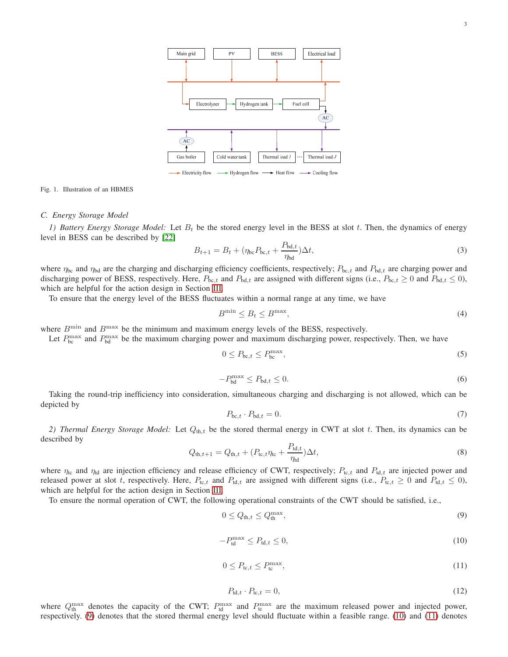

<span id="page-2-0"></span>Fig. 1. Illustration of an HBMES

## *C. Energy Storage Model*

*1) Battery Energy Storage Model:* Let  $B_t$  be the stored energy level in the BESS at slot  $t$ . Then, the dynamics of energy level in BESS can be described by [\[22\]](#page-12-20)

<span id="page-2-5"></span>
$$
B_{t+1} = B_t + (\eta_{bc} P_{bc,t} + \frac{P_{bd,t}}{\eta_{bd}}) \Delta t, \qquad (3)
$$

where  $\eta_{bc}$  and  $\eta_{bd}$  are the charging and discharging efficiency coefficients, respectively;  $P_{bc,t}$  and  $P_{bd,t}$  are charging power and discharging power of BESS, respectively. Here,  $P_{bc,t}$  and  $P_{bd,t}$  are assigned with different signs (i.e.,  $P_{bc,t} \ge 0$  and  $P_{bd,t} \le 0$ ), which are helpful for the action design in Section [III.](#page-5-0)

To ensure that the energy level of the BESS fluctuates within a normal range at any time, we have

<span id="page-2-10"></span>
$$
B^{\min} \le B_t \le B^{\max},\tag{4}
$$

where  $B<sup>min</sup>$  and  $B<sup>max</sup>$  be the minimum and maximum energy levels of the BESS, respectively.

Let  $P_{bc}^{\text{max}}$  and  $P_{bd}^{\text{max}}$  be the maximum charging power and maximum discharging power, respectively. Then, we have

<span id="page-2-8"></span>
$$
0 \le P_{bc,t} \le P_{bc}^{\max},\tag{5}
$$

$$
-P_{\text{bd}}^{\max} \le P_{\text{bd},t} \le 0. \tag{6}
$$

<span id="page-2-9"></span><span id="page-2-7"></span>Taking the round-trip inefficiency into consideration, simultaneous charging and discharging is not allowed, which can be depicted by

$$
P_{\text{bc},t} \cdot P_{\text{bd},t} = 0. \tag{7}
$$

<span id="page-2-6"></span>2) Thermal Energy Storage Model: Let  $Q_{\text{th},t}$  be the stored thermal energy in CWT at slot t. Then, its dynamics can be described by

$$
Q_{\text{th},t+1} = Q_{\text{th},t} + (P_{\text{tc},t}\eta_{\text{tc}} + \frac{P_{\text{td},t}}{\eta_{\text{td}}})\Delta t, \tag{8}
$$

where  $\eta_{tc}$  and  $\eta_{td}$  are injection efficiency and release efficiency of CWT, respectively;  $P_{tc,t}$  and  $P_{td,t}$  are injected power and released power at slot t, respectively. Here,  $P_{tc,t}$  and  $P_{td,t}$  are assigned with different signs (i.e.,  $P_{tc,t} \ge 0$  and  $P_{td,t} \le 0$ ), which are helpful for the action design in Section [III.](#page-5-0)

<span id="page-2-2"></span>To ensure the normal operation of CWT, the following operational constraints of the CWT should be satisfied, i.e.,

<span id="page-2-1"></span>
$$
0 \le Q_{\text{th},t} \le Q_{\text{th}}^{\text{max}},\tag{9}
$$

$$
-P_{\rm td}^{\rm max} \le P_{\rm td,t} \le 0,\tag{10}
$$

$$
0 \le P_{\text{tc},t} \le P_{\text{tc}}^{\text{max}},\tag{11}
$$

$$
P_{\text{td},t} \cdot P_{\text{tc},t} = 0,\tag{12}
$$

<span id="page-2-4"></span><span id="page-2-3"></span>where  $Q_{\text{th}}^{\text{max}}$  denotes the capacity of the CWT;  $P_{\text{td}}^{\text{max}}$  and  $P_{\text{tc}}^{\text{max}}$  are the maximum released power and injected power, respectively. [\(9\)](#page-2-1) denotes that the stored thermal energy level should fluctuate within a feasible range. [\(10\)](#page-2-2) and [\(11\)](#page-2-3) denotes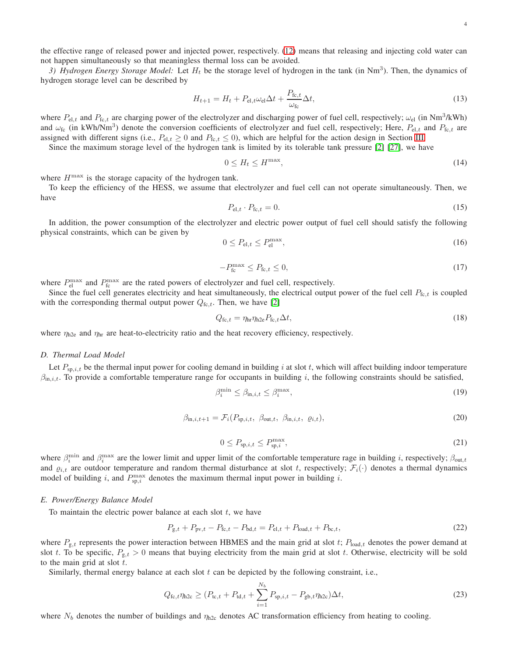the effective range of released power and injected power, respectively. [\(12\)](#page-2-4) means that releasing and injecting cold water can not happen simultaneously so that meaningless thermal loss can be avoided.

3) *Hydrogen Energy Storage Model:* Let  $H_t$  be the storage level of hydrogen in the tank (in Nm<sup>3</sup>). Then, the dynamics of hydrogen storage level can be described by

<span id="page-3-0"></span>
$$
H_{t+1} = H_t + P_{\text{el},t} \omega_{\text{el}} \Delta t + \frac{P_{\text{fc},t}}{\omega_{\text{fc}}} \Delta t,\tag{13}
$$

where  $P_{el,t}$  and  $P_{fc,t}$  are charging power of the electrolyzer and discharging power of fuel cell, respectively;  $\omega_{el}$  (in Nm<sup>3</sup>/kWh) and  $\omega_{\rm fc}$  (in kWh/Nm<sup>3</sup>) denote the conversion coefficients of electrolyzer and fuel cell, respectively; Here,  $P_{\rm el,t}$  and  $P_{\rm fc,t}$  are assigned with different signs (i.e.,  $P_{el,t} \ge 0$  and  $P_{ic,t} \le 0$ ), which are helpful for the action design in Section [III.](#page-5-0)

Since the maximum storage level of the hydrogen tank is limited by its tolerable tank pressure [\[2\]](#page-12-1) [\[27\]](#page-12-25), we have

<span id="page-3-9"></span>
$$
0 \le H_t \le H^{\max},\tag{14}
$$

where  $H^{\text{max}}$  is the storage capacity of the hydrogen tank.

<span id="page-3-6"></span>To keep the efficiency of the HESS, we assume that electrolyzer and fuel cell can not operate simultaneously. Then, we have

$$
P_{\text{el},t} \cdot P_{\text{fc},t} = 0. \tag{15}
$$

In addition, the power consumption of the electrolyzer and electric power output of fuel cell should satisfy the following physical constraints, which can be given by

<span id="page-3-7"></span>
$$
0 \le P_{\text{el},t} \le P_{\text{el}}^{\text{max}},\tag{16}
$$

$$
-P_{\text{fc}}^{\text{max}} \le P_{\text{fc},t} \le 0,\tag{17}
$$

<span id="page-3-8"></span>where  $P_{\text{el}}^{\text{max}}$  and  $P_{\text{fc}}^{\text{max}}$  are the rated powers of electrolyzer and fuel cell, respectively.

Since the fuel cell generates electricity and heat simultaneously, the electrical output power of the fuel cell  $P_{\text{fc},t}$  is coupled with the corresponding thermal output power  $Q_{fc,t}$ . Then, we have [\[2\]](#page-12-1)

<span id="page-3-2"></span>
$$
Q_{\text{fc},t} = \eta_{\text{hr}} \eta_{\text{h2e}} P_{\text{fc},t} \Delta t,\tag{18}
$$

where  $\eta_{h2e}$  and  $\eta_{hr}$  are heat-to-electricity ratio and the heat recovery efficiency, respectively.

## *D. Thermal Load Model*

<span id="page-3-1"></span>Let  $P_{\text{sp},i,t}$  be the thermal input power for cooling demand in building i at slot t, which will affect building indoor temperature  $\beta_{\text{in},i,t}$ . To provide a comfortable temperature range for occupants in building i, the following constraints should be satisfied,

<span id="page-3-5"></span>
$$
\beta_i^{\min} \le \beta_{\text{in},i,t} \le \beta_i^{\max},\tag{19}
$$

$$
\beta_{\text{in},i,t+1} = \mathcal{F}_i(P_{\text{sp},i,t}, \ \beta_{\text{out},t}, \ \beta_{\text{in},i,t}, \ \varrho_{i,t}), \tag{20}
$$

<span id="page-3-4"></span><span id="page-3-3"></span>
$$
0 \le P_{\text{sp},i,t} \le P_{\text{sp},i}^{\text{max}},\tag{21}
$$

where  $\beta_i^{\min}$  and  $\beta_i^{\max}$  are the lower limit and upper limit of the comfortable temperature rage in building *i*, respectively;  $\beta_{\text{out},t}$ and  $\rho_{i,t}$  are outdoor temperature and random thermal disturbance at slot t, respectively;  $\mathcal{F}_i(\cdot)$  denotes a thermal dynamics model of building i, and  $P_{\text{sp},i}^{\text{max}}$  denotes the maximum thermal input power in building i.

#### *E. Power/Energy Balance Model*

To maintain the electric power balance at each slot  $t$ , we have

$$
P_{g,t} + P_{pv,t} - P_{fc,t} - P_{bd,t} = P_{el,t} + P_{load,t} + P_{bc,t},
$$
\n(22)

where  $P_{g,t}$  represents the power interaction between HBMES and the main grid at slot t;  $P_{load,t}$  denotes the power demand at slot t. To be specific,  $P_{g,t} > 0$  means that buying electricity from the main grid at slot t. Otherwise, electricity will be sold to the main grid at slot  $t$ .

Similarly, thermal energy balance at each slot  $t$  can be depicted by the following constraint, i.e.,

$$
Q_{\text{fc},t}\eta_{\text{h2c}} \ge (P_{\text{tc},t} + P_{\text{td},t} + \sum_{i=1}^{N_b} P_{\text{sp},i,t} - P_{\text{gb},t}\eta_{\text{h2c}})\Delta t,
$$
\n(23)

where  $N_b$  denotes the number of buildings and  $\eta_{h2c}$  denotes AC transformation efficiency from heating to cooling.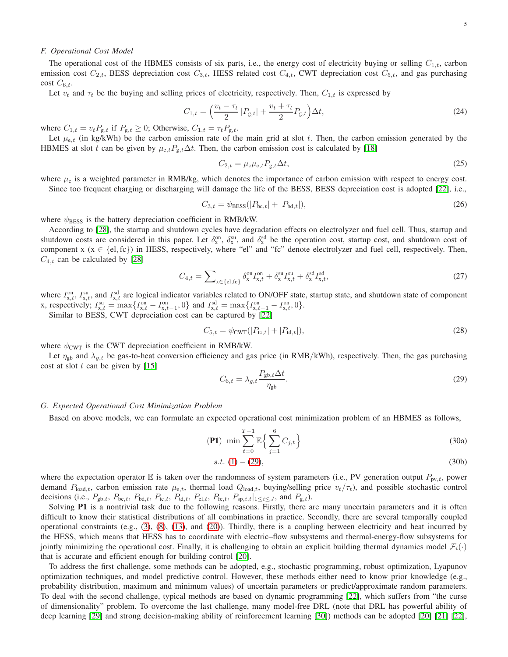## *F. Operational Cost Model*

The operational cost of the HBMES consists of six parts, i.e., the energy cost of electricity buying or selling  $C_{1,t}$ , carbon emission cost  $C_{2,t}$ , BESS depreciation cost  $C_{3,t}$ , HESS related cost  $C_{4,t}$ , CWT depreciation cost  $C_{5,t}$ , and gas purchasing cost  $C_{6,t}$ .

Let  $v_t$  and  $\tau_t$  be the buying and selling prices of electricity, respectively. Then,  $C_{1,t}$  is expressed by

$$
C_{1,t} = \left(\frac{v_t - \tau_t}{2} |P_{g,t}| + \frac{v_t + \tau_t}{2} P_{g,t}\right) \Delta t, \tag{24}
$$

where  $C_{1,t} = v_t P_{g,t}$  if  $P_{g,t} \geq 0$ ; Otherwise,  $C_{1,t} = \tau_t P_{g,t}$ .

Let  $\mu_{e,t}$  (in kg/kWh) be the carbon emission rate of the main grid at slot t. Then, the carbon emission generated by the HBMES at slot t can be given by  $\mu_{e,t} P_{g,t} \Delta t$ . Then, the carbon emission cost is calculated by [\[18\]](#page-12-18)

<span id="page-4-3"></span><span id="page-4-2"></span>
$$
C_{2,t} = \mu_c \mu_{e,t} P_{g,t} \Delta t,\tag{25}
$$

where  $\mu_c$  is a weighted parameter in RMB/kg, which denotes the importance of carbon emission with respect to energy cost. Since too frequent charging or discharging will damage the life of the BESS, BESS depreciation cost is adopted [\[22\]](#page-12-20), i.e.,

$$
C_{3,t} = \psi_{\text{BESS}}(|P_{\text{bc},t}| + |P_{\text{bd},t}|),\tag{26}
$$

where  $\psi_{\text{BESS}}$  is the battery depreciation coefficient in RMB/kW.

According to [\[28\]](#page-12-26), the startup and shutdown cycles have degradation effects on electrolyzer and fuel cell. Thus, startup and shutdown costs are considered in this paper. Let  $\delta_x^{on}$ ,  $\delta_x^{su}$ , and  $\delta_x^{sd}$  be the operation cost, startup cost, and shutdown cost of component  $x (x \in \{el, fc\})$  in HESS, respectively, where "el" and "fc" denote electrolyzer and fuel cell, respectively. Then,  $C_{4,t}$  can be calculated by [\[28\]](#page-12-26)

$$
C_{4,t} = \sum_{x \in \{el,fc\}} \delta_x^{\text{on}} I_{x,t}^{\text{on}} + \delta_x^{\text{su}} I_{x,t}^{\text{su}} + \delta_x^{\text{sd}} I_{x,t}^{\text{sd}},\tag{27}
$$

where  $I_{x,t}^{\text{on}}, I_{x,t}^{\text{su}}$ , and  $I_{x,t}^{\text{sd}}$  are logical indicator variables related to ON/OFF state, startup state, and shutdown state of component x, respectively;  $I_{x,t}^{\text{su}} = \max\{I_{x,t}^{\text{on}} - I_{x,t-1}^{\text{on}}, 0\}$  and  $I_{x,t}^{\text{sd}} = \max\{I_{x,t-1}^{\text{on}} - I_{x,t}^{\text{on}}, 0\}$ .

Similar to BESS, CWT depreciation cost can be captured by [\[22\]](#page-12-20)

<span id="page-4-1"></span>
$$
C_{5,t} = \psi_{\text{CWT}}(|P_{\text{tc},t}| + |P_{\text{td},t}|),\tag{28}
$$

where  $\psi_{\text{CWT}}$  is the CWT depreciation coefficient in RMB/kW.

Let  $\eta_{gb}$  and  $\lambda_{q,t}$  be gas-to-heat conversion efficiency and gas price (in RMB/kWh), respectively. Then, the gas purchasing cost at slot  $t$  can be given by [\[15\]](#page-12-13)

<span id="page-4-4"></span>
$$
C_{6,t} = \lambda_{g,t} \frac{P_{\text{gb},t} \Delta t}{\eta_{\text{gb}}}.
$$
\n(29)

## *G. Expected Operational Cost Minimization Problem*

Based on above models, we can formulate an expected operational cost minimization problem of an HBMES as follows,

$$
\textbf{(P1)} \ \min \sum_{t=0}^{T-1} \mathbb{E} \left\{ \sum_{j=1}^{6} C_{j,t} \right\} \tag{30a}
$$

<span id="page-4-0"></span>
$$
s.t. (1) - (29), \tag{30b}
$$

where the expectation operator  $E$  is taken over the randomness of system parameters (i.e., PV generation output  $P_{pv,t}$ , power demand  $P_{\text{load},t}$ , carbon emission rate  $\mu_{e,t}$ , thermal load  $Q_{\text{load},t}$ , buying/selling price  $v_t/\tau_t$ ), and possible stochastic control decisions (i.e.,  $P_{gb,t}$ ,  $P_{bc,t}$ ,  $P_{bd,t}$ ,  $P_{tc,t}$ ,  $P_{td,t}$ ,  $P_{el,t}$ ,  $P_{fc,t}$ ,  $P_{sp,i,t}|_{1\leq i\leq J}$ , and  $P_{g,t}$ ).

Solving P1 is a nontrivial task due to the following reasons. Firstly, there are many uncertain parameters and it is often difficult to know their statistical distributions of all combinations in practice. Secondly, there are several temporally coupled operational constraints (e.g.,  $(3)$ ,  $(8)$ ,  $(13)$ , and  $(20)$ ). Thirdly, there is a coupling between electricity and heat incurred by the HESS, which means that HESS has to coordinate with electric–flow subsystems and thermal-energy-flow subsystems for jointly minimizing the operational cost. Finally, it is challenging to obtain an explicit building thermal dynamics model  $\mathcal{F}_i(\cdot)$ that is accurate and efficient enough for building control [\[20\]](#page-12-19).

To address the first challenge, some methods can be adopted, e.g., stochastic programming, robust optimization, Lyapunov optimization techniques, and model predictive control. However, these methods either need to know prior knowledge (e.g., probability distribution, maximum and minimum values) of uncertain parameters or predict/approximate random parameters. To deal with the second challenge, typical methods are based on dynamic programming [\[22\]](#page-12-20), which suffers from "the curse of dimensionality" problem. To overcome the last challenge, many model-free DRL (note that DRL has powerful ability of deep learning [\[29\]](#page-12-27) and strong decision-making ability of reinforcement learning [\[30\]](#page-12-28)) methods can be adopted [\[20\]](#page-12-19) [\[21\]](#page-12-29) [\[22\]](#page-12-20),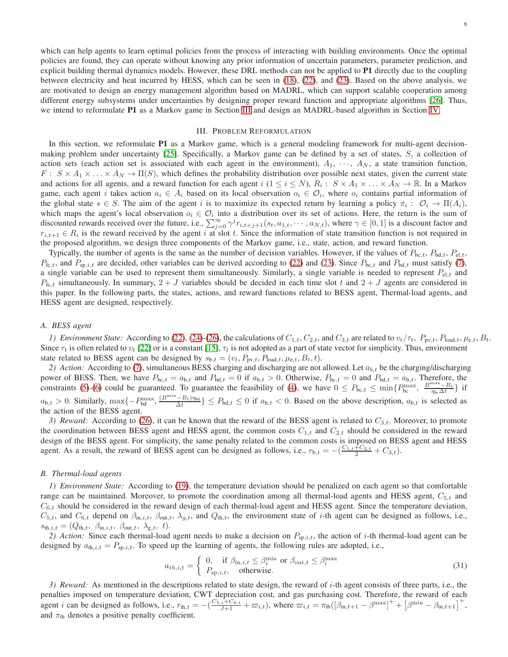which can help agents to learn optimal policies from the process of interacting with building environments. Once the optimal policies are found, they can operate without knowing any prior information of uncertain parameters, parameter prediction, and explicit building thermal dynamics models. However, these DRL methods can not be applied to **P1** directly due to the coupling between electricity and heat incurred by HESS, which can be seen in [\(18\)](#page-3-2), [\(22\)](#page-3-3), and [\(23\)](#page-3-4). Based on the above analysis, we are motivated to design an energy management algorithm based on MADRL, which can support scalable cooperation among different energy subsystems under uncertainties by designing proper reward function and appropriate algorithms [\[26\]](#page-12-24). Thus, we intend to reformulate P1 as a Markov game in Section [III](#page-5-0) and design an MADRL-based algorithm in Section [IV.](#page-6-0)

## III. PROBLEM REFORMULATION

<span id="page-5-0"></span>In this section, we reformulate P1 as a Markov game, which is a general modeling framework for multi-agent decisionmaking problem under uncertainty [\[25\]](#page-12-23). Specifically, a Markov game can be defined by a set of states, S, a collection of action sets (each action set is associated with each agent in the environment),  $A_1, \dots, A_N$ , a state transition function,  $F: S \times A_1 \times \ldots \times A_N \to \Pi(S)$ , which defines the probability distribution over possible next states, given the current state and actions for all agents, and a reward function for each agent  $i$  ( $1 \le i \le N$ ),  $R_i: S \times A_1 \times \ldots \times A_N \to \mathbb{R}$ . In a Markov game, each agent i takes action  $a_i \in A_i$  based on its local observation  $o_i \in O_i$ , where  $o_i$  contains partial information of the global state  $s \in S$ . The aim of the agent i is to maximize its expected return by learning a policy  $\pi_i : \mathcal{O}_i \to \Pi(A_i)$ , which maps the agent's local observation  $o_i \in \mathcal{O}_i$  into a distribution over its set of actions. Here, the return is the sum of discounted rewards received over the future, i.e.,  $\sum_{j=0}^{\infty} \gamma^{j} r_{i,t+j+1}(s_t, a_{1,t}, \cdots, a_{N,t})$ , where  $\gamma \in [0,1]$  is a discount factor and  $r_{i,t+1} \in R_i$  is the reward received by the agent i at slot t. Since the information of state transition function is not required in the proposed algorithm, we design three components of the Markov game, i.e., state, action, and reward function.

Typically, the number of agents is the same as the number of decision variables. However, if the values of  $P_{bc,t}$ ,  $P_{bd,t}$ ,  $P_{ed,t}$ ,  $P_{\text{fc},t}$ , and  $P_{\text{sp},i,t}$  are decided, other variables can be derived according to [\(22\)](#page-3-3) and [\(23\)](#page-3-4). Since  $P_{\text{bc},t}$  and  $P_{\text{bd},t}$  must satisfy [\(7\)](#page-2-7), a single variable can be used to represent them simultaneously. Similarly, a single variable is needed to represent  $P_{el,t}$  and  $P_{\text{fc},t}$  simultaneously. In summary,  $2 + J$  variables should be decided in each time slot t and  $2 + J$  agents are considered in this paper. In the following parts, the states, actions, and reward functions related to BESS agent, Thermal-load agents, and HESS agent are designed, respectively.

#### *A. BESS agent*

*1)* Environment State: According to [\(22\)](#page-3-3), [\(24\)](#page-4-2)-[\(26\)](#page-4-3), the calculations of  $C_{1,t}$ ,  $C_{2,t}$ , and  $C_{3,t}$  are related to  $v_t/\tau_t$ ,  $P_{\text{pv},t}$ ,  $P_{\text{load},t}$ ,  $\mu_{e,t}$ ,  $B_t$ . Since  $\tau_t$  is often related to  $v_t$  [\[22\]](#page-12-20) or is a constant [\[15\]](#page-12-13),  $\tau_t$  is not adopted as a part of state vector for simplicity. Thus, environment state related to BESS agent can be designed by  $s_{b,t} = (v_t, P_{pv,t}, P_{load,t}, \mu_{e,t}, B_t, t)$ .

*2)* Action: According to [\(7\)](#page-2-7), simultaneous BESS charging and discharging are not allowed. Let  $a_{b,t}$  be the charging/discharging power of BESS. Then, we have  $P_{bc,t} = a_{b,t}$  and  $P_{bd,t} = 0$  if  $a_{b,t} > 0$ . Otherwise,  $P_{bc,t} = 0$  and  $P_{bd,t} = a_{b,t}$ . Therefore, the constraints [\(5\)](#page-2-8)-[\(6\)](#page-2-9) could be guaranteed. To guarantee the feasibility of [\(4\)](#page-2-10), we have  $0 \le P_{bc,t} \le \min\{P_{bc}^{\max}, \frac{B^{\max}-B_t}{\eta_{bc}\Delta t}\}$  if  $a_{b,t} > 0$ . Similarly,  $\max\{-P_{bd}^{\max}, \frac{(B^{\min}-B_t)\eta_{bd}}{\Delta t}\}\leq P_{bd,t} \leq 0$  if  $a_{b,t} < 0$ . Based on the above description,  $a_{b,t}$  is selected as the action of the BESS agent.

*3) Reward:* According to [\(26\)](#page-4-3), it can be known that the reward of the BESS agent is related to  $C_{3,t}$ . Moreover, to promote the coordination between BESS agent and HESS agent, the common costs  $C_{1,t}$  and  $C_{2,t}$  should be considered in the reward design of the BESS agent. For simplicity, the same penalty related to the common costs is imposed on BESS agent and HESS agent. As a result, the reward of BESS agent can be designed as follows, i.e.,  $r_{b,t} = -(\frac{C_{1,t} + C_{2,t}}{2} + C_{3,t})$ .

# *B. Thermal-load agents*

*1) Environment State:* According to [\(19\)](#page-3-5), the temperature deviation should be penalized on each agent so that comfortable range can be maintained. Moreover, to promote the coordination among all thermal-load agents and HESS agent,  $C_{5,t}$  and  $C_{6,t}$  should be considered in the reward design of each thermal-load agent and HESS agent. Since the temperature deviation,  $C_{5,t}$ , and  $C_{6,t}$  depend on  $\beta_{\text{in},i,t}$ ,  $\beta_{\text{out},t}$ ,  $\lambda_{q,t}$ , and  $Q_{\text{th},t}$ , the environment state of i-th agent can be designed as follows, i.e.,  $s_{\text{th},i,t} = (Q_{\text{th},t}, \beta_{\text{in},i,t}, \beta_{\text{out},t}, \lambda_{\text{g},t}, t).$ 

*2) Action:* Since each thermal-load agent needs to make a decision on  $P_{sp,i,t}$ , the action of i-th thermal-load agent can be designed by  $a_{th,i,t} = P_{\text{sp},i,t}$ . To speed up the learning of agents, the following rules are adopted, i.e.,

<span id="page-5-1"></span>
$$
a_{th,i,t} = \begin{cases} 0, & \text{if } \beta_{\text{in},i,t} \leq \beta_i^{\text{min}} \text{ or } \beta_{\text{out},t} \leq \beta_i^{\text{max}} \\ P_{\text{sp},i,t}, & \text{otherwise.} \end{cases}
$$
(31)

*3) Reward:* As mentioned in the descriptions related to state design, the reward of *i*-th agent consists of three parts, i.e., the penalties imposed on temperature deviation, CWT depreciation cost, and gas purchasing cost. Therefore, the reward of each agent *i* can be designed as follows, i.e.,  $r_{th,t} = -\left(\frac{C_{5,t} + C_{6,t}}{J+1} + \varpi_{i,t}\right)$ , where  $\varpi_{i,t} = \pi_{th}(\left[\beta_{\text{in},t+1} - \beta^{\text{max}}\right]^{+} + \left[\beta^{\text{min}} - \beta_{\text{in},t+1}\right]^{+}$ , and  $\pi_{\text{th}}$  denotes a positive penalty coefficient.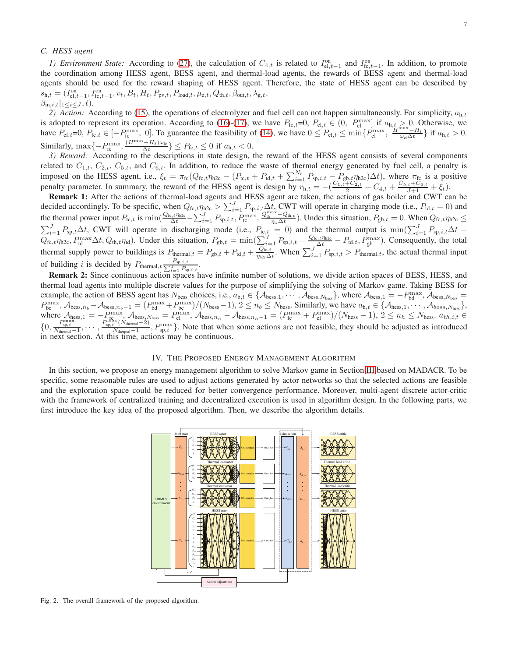## *C. HESS agent*

*1) Environment State:* According to [\(27\)](#page-4-4), the calculation of  $C_{4,t}$  is related to  $I_{el,t-1}^{on}$  and  $I_{lc,t-1}^{on}$ . In addition, to promote the coordination among HESS agent, BESS agent, and thermal-load agents, the rewards of BESS agent and thermal-load agents should be used for the reward shaping of HESS agent. Therefore, the state of HESS agent can be described by  $s_{\rm h,t} = (I_{\rm el,t-1}^{\rm on},I_{\rm fc,t-1}^{\rm on},v_t,B_t,H_t,P_{\rm pv,t},P_{\rm load,t},\mu_{\rm e,t},Q_{\rm th,t},\beta_{\rm out,t},\lambda_{\rm g,t},$  $\beta_{\text{in},i,t}|_{1\leq i\leq J}, t$ .

2) Action: According to [\(15\)](#page-3-6), the operations of electrolyzer and fuel cell can not happen simultaneously. For simplicity,  $a_{h,t}$ is adopted to represent its operation. According to [\(16\)](#page-3-7)-[\(17\)](#page-3-8), we have  $P_{\text{fc},t}=0$ ,  $P_{\text{el},t} \in (0, P_{\text{el}}^{\text{max}}]$  if  $a_{\text{h},t} > 0$ . Otherwise, we have  $P_{el,t}=0$ ,  $P_{fc,t} \in [-P_{fc}^{max}, 0]$ . To guarantee the feasibility of [\(14\)](#page-3-9), we have  $0 \le P_{el,t} \le \min\{P_{el}^{max}, \frac{H_{max}-H_t}{\omega_{el}\Delta t}\}$  if  $a_{h,t} > 0$ . Similarly, max $\{-P_{\text{fc}}^{\max}, \frac{(H^{\min}-H_t)\omega_{\text{fc}}}{\Delta t}\}\leq P_{\text{fc},t}\leq 0$  if  $a_{\text{h},t}<0$ .

*3) Reward:* According to the descriptions in state design, the reward of the HESS agent consists of several components related to  $C_{1,t}$ ,  $C_{2,t}$ ,  $C_{5,t}$ , and  $C_{6,t}$ . In addition, to reduce the waste of thermal energy generated by fuel cell, a penalty is imposed on the HESS agent, i.e.,  $\xi_t = \pi_{\text{fc}}(Q_{\text{fc},t}\eta_{\text{h2c}} - (P_{\text{tc},t} + P_{\text{td},t} + \sum_{i=1}^{N_b} P_{\text{sp},i,t} - P_{\text{gb},t}\eta_{\text{h2c}})\Delta t)$ , where  $\pi_{\text{fc}}$  is a positive penalty parameter. In summary, the reward of the HESS agent is design by  $r_{h,t} = -\left(\frac{C_{1,t} + C_{2,t}}{2} + C_{4,t} + \frac{C_{5,t} + C_{6,t}}{J+1} + \xi_t\right)$ .

Remark 1: After the actions of thermal-load agents and HESS agent are taken, the actions of gas boiler and CWT can be decided accordingly. To be specific, when  $Q_{fc,t}\eta_{\text{h2c}} > \sum_{i=1}^{J} P_{\text{sp},i,t}\Delta t$ , CWT will operate in charging mode (i.e.,  $P_{\text{td},t} = 0$ ) and the thermal power input  $P_{\text{tc},t}$  is  $\min(\frac{Q_{\text{fc},t}}{\Delta t} - \sum_{i=1}^{J} P_{\text{sp},i,t}, P_{\text{tc}}^{\max} \frac{Q_{\text{th}}^{\max} - Q_{\text{th},t}}{\eta_{\text{tc}} \Delta t})$ . Under this situation,  $P_{\text{gb},t} = 0$ . When  $Q_{\text{fc},t}\eta_{\text{h2c}} \leq$  $\sum_{i=1}^{J} P_{\text{sp},t} \Delta t$ , CWT will operate in discharging mode (i.e.,  $P_{\text{tc},t} = 0$ ) and the thermal output is  $\min(\sum_{i=1}^{J} P_{\text{sp},i,t} \Delta t$  $Q_{\text{fc},t}\eta_{\text{h2c}},P_{\text{td}}^{\text{max}}\Delta t, Q_{\text{th},t}\eta_{\text{td}}$ . Under this situation,  $P_{\text{gb},t} = \min(\sum_{i=1}^{J} P_{\text{sp},i,t} - \frac{Q_{\text{fc},t}\eta_{\text{h2c}}}{\Delta t} - P_{\text{td},t},P_{\text{gb}}^{\text{max}})$ . Consequently, the total thermal supply power to buildings is  $P_{\text{thermal},t} = P_{\text{gb},t} + P_{\text{td},t} + \frac{Q_{\text{fc},t}}{p_{\text{ho},\text{o}}\Delta}$  $\frac{Q_{i\epsilon,t}}{\eta_{h2c}\Delta t}$ . When  $\sum_{i=1}^{J} P_{\text{sp},i,t} > P_{\text{thermal},t}$ , the actual thermal input of building *i* is decided by  $P_{\text{thermal},t} \frac{P_{\text{sp},i,t}}{\sum_{i=1}^{J} P_{\text{sp},i,t,i}}$ .

Remark 2: Since continuous action spaces have infinite number of solutions, we divide action spaces of BESS, HESS, and thermal load agents into multiple discrete values for the purpose of simplifying the solving of Markov game. Taking BESS for example, the action of BESS agent has  $N_{\text{bess}}$  choices, i.e.,  $a_{b,t} \in \{ \mathcal{A}_{\text{bess},1}, \dots, \mathcal{A}_{\text{bess},N_{\text{bess}} \}}$ , where  $\mathcal{A}_{\text{bess},1} = -P_{\text{bd}}^{\text{max}}$ ,  $\mathcal{A}_{\text{bess},N_{\text{bess}}}$  $P_{bc}^{\max}, \mathcal{A}_{\text{bess},n_b} - \mathcal{A}_{\text{bess},n_b-1} = (P_{bd}^{\max} + P_{bc}^{\max})/(N_{\text{bess}} - 1), 2 \le n_b \le N_{\text{bess}}$ . Similarly, we have  $a_{h,t} \in \{\mathcal{A}_{\text{hess},1}, \cdots, \mathcal{A}_{\text{bess},N_{\text{hess}}}\},$ where  $\mathcal{A}_{\text{hess},1} = -P_{\text{fic}}^{\text{max}}, \mathcal{A}_{\text{hess},N_{\text{hess}}} = P_{\text{el}}^{\text{max}}, \mathcal{A}_{\text{hess},n_h} - \mathcal{A}_{\text{hess},n_h-1} = (P_{\text{fc}}^{\text{max}} + P_{\text{el}}^{\text{max}})/(N_{\text{hess}} - 1), 2 \le n_h \le N_{\text{hess}}$ .  $a_{th,i,t} \in$  $\{0, \frac{P_{\text{sp},i}^{\text{max}}, \dots, P_{\text{sp},i}^{\text{max}}(N_{\text{thermal}-2})}{N_{\text{thermal}-1}}\}$  $N_{\text{thermal}-1}$ ,  $P_{\text{sp},i}^{\max}$ . Note that when some actions are not feasible, they should be adjusted as introduced in next section. At this time, actions may be continuous.

# IV. THE PROPOSED ENERGY MANAGEMENT ALGORITHM

<span id="page-6-0"></span>In this section, we propose an energy management algorithm to solve Markov game in Section [III](#page-5-0) based on MADACR. To be specific, some reasonable rules are used to adjust actions generated by actor networks so that the selected actions are feasible and the exploration space could be reduced for better convergence performance. Moreover, multi-agent discrete actor-critic with the framework of centralized training and decentralized execution is used in algorithm design. In the following parts, we first introduce the key idea of the proposed algorithm. Then, we describe the algorithm details.



<span id="page-6-1"></span>Fig. 2. The overall framework of the proposed algorithm.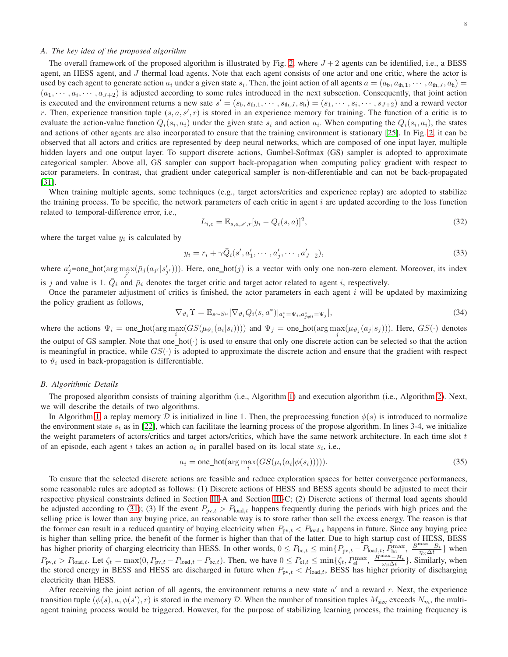# *A. The key idea of the proposed algorithm*

The overall framework of the proposed algorithm is illustrated by Fig. [2,](#page-6-1) where  $J + 2$  agents can be identified, i.e., a BESS agent, an HESS agent, and J thermal load agents. Note that each agent consists of one actor and one critic, where the actor is used by each agent to generate action  $a_i$  under a given state  $s_i$ . Then, the joint action of all agents  $a = (a_b, a_{th,1}, \dots, a_{th,J}, a_h)$  $(a_1, \dots, a_i, \dots, a_{J+2})$  is adjusted according to some rules introduced in the next subsection. Consequently, that joint action is executed and the environment returns a new sate  $s' = (s_b, s_{th,1}, \dots, s_{th,J}, s_h) = (s_1, \dots, s_i, \dots, s_{J+2})$  and a reward vector r. Then, experience transition tuple  $(s, a, s', r)$  is stored in an experience memory for training. The function of a critic is to evaluate the action-value function  $Q_i(s_i, a_i)$  under the given state  $s_i$  and action  $a_i$ . When computing the  $Q_i(s_i, a_i)$ , the states and actions of other agents are also incorporated to ensure that the training environment is stationary [\[25\]](#page-12-23). In Fig. [2,](#page-6-1) it can be observed that all actors and critics are represented by deep neural networks, which are composed of one input layer, multiple hidden layers and one output layer. To support discrete actions, Gumbel-Softmax (GS) sampler is adopted to approximate categorical sampler. Above all, GS sampler can support back-propagation when computing policy gradient with respect to actor parameters. In contrast, that gradient under categorical sampler is non-differentiable and can not be back-propagated [\[31\]](#page-12-30).

When training multiple agents, some techniques (e.g., target actors/critics and experience replay) are adopted to stabilize the training process. To be specific, the network parameters of each critic in agent i are updated according to the loss function related to temporal-difference error, i.e.,

$$
L_{i,c} = \mathbb{E}_{s,a,s',r}[y_i - Q_i(s,a)]^2,
$$
\n(32)

where the target value  $y_i$  is calculated by

$$
y_i = r_i + \gamma \bar{Q}_i(s', a'_1, \cdots, a'_j, \cdots, a'_{J+2}),\tag{33}
$$

where  $a'_j$ =one\_hot( $\arg \max_{j'}(\bar{\mu}_j(a_{j'}|s'_{j'})))$ . Here, one\_hot(j) is a vector with only one non-zero element. Moreover, its index is j and value is 1.  $\bar{Q}_i$  and  $\bar{\mu}_i$  denotes the target critic and target actor related to agent i, respectively.

Once the parameter adjustment of critics is finished, the actor parameters in each agent  $i$  will be updated by maximizing the policy gradient as follows,

$$
\nabla_{\vartheta_i} \Upsilon = \mathbb{E}_{s \sim S^{\mu}} [\nabla_{\vartheta_i} Q_i(s, a^*)|_{a_i^* = \Psi_i, a_{j \neq i}^* = \Psi_j}], \tag{34}
$$

where the actions  $\Psi_i = \text{one\_hot}(\arg \max_i(GS(\mu_{\vartheta_i}(a_i|s_i))))$  and  $\Psi_j = \text{one\_hot}(\arg \max_j(\mu_{\vartheta_j}(a_j|s_j)))$ . Here,  $GS(\cdot)$  denotes the output of GS sampler. Note that one hot( $\cdot$ ) is used to ensure that only one discrete action can be selected so that the action is meaningful in practice, while  $GS(\cdot)$  is adopted to approximate the discrete action and ensure that the gradient with respect to  $\vartheta_i$  used in back-propagation is differentiable.

#### *B. Algorithmic Details*

The proposed algorithm consists of training algorithm (i.e., Algorithm [1\)](#page-8-1) and execution algorithm (i.e., Algorithm [2\)](#page-9-0). Next, we will describe the details of two algorithms.

In Algorithm [1,](#page-8-1) a replay memory D is initialized in line 1. Then, the preprocessing function  $\phi(s)$  is introduced to normalize the environment state  $s_t$  as in [\[22\]](#page-12-20), which can facilitate the learning process of the propose algorithm. In lines 3-4, we initialize the weight parameters of actors/critics and target actors/critics, which have the same network architecture. In each time slot  $t$ of an episode, each agent i takes an action  $a_i$  in parallel based on its local state  $s_i$ , i.e.,

<span id="page-7-0"></span>
$$
a_i = \text{one\_hot}(\arg \max_i (GS(\mu_i(a_i|\phi(s_i))))). \tag{35}
$$

To ensure that the selected discrete actions are feasible and reduce exploration spaces for better convergence performances, some reasonable rules are adopted as follows: (1) Discrete actions of HESS and BESS agents should be adjusted to meet their respective physical constraints defined in Section [III-](#page-5-0)A and Section [III-](#page-5-0)C; (2) Discrete actions of thermal load agents should be adjusted according to [\(31\)](#page-5-1); (3) If the event  $P_{pv,t} > P_{load,t}$  happens frequently during the periods with high prices and the selling price is lower than any buying price, an reasonable way is to store rather than sell the excess energy. The reason is that the former can result in a reduced quantity of buying electricity when  $P_{pv,t} < P_{load,t}$  happens in future. Since any buying price is higher than selling price, the benefit of the former is higher than that of the latter. Due to high startup cost of HESS, BESS has higher priority of charging electricity than HESS. In other words,  $0 \le P_{bc,t} \le \min\{P_{pv,t} - P_{load,t}, P_{bc}^{\max}, \frac{B^{\max}-B_t}{\eta_{bc}\Delta t}\}$  when  $P_{\text{pv},t} > P_{\text{load},t}$ . Let  $\zeta_t = \max(0, P_{\text{pv},t} - P_{\text{load},t} - P_{\text{bc},t})$ . Then, we have  $0 \le P_{\text{el},t} \le \min\{\zeta_t, P_{\text{el}}^{\text{max}}, \frac{H_{\text{max}} - H_t}{\omega_{\text{el}}\Delta t}\}$ . Similarly, when the stored energy in BESS and HESS are discharged in future when  $P_{pv,t} < P_{load,t}$ , BESS has higher priority of discharging electricity than HESS.

After receiving the joint action of all agents, the environment returns a new state  $a'$  and a reward  $r$ . Next, the experience transition tuple  $(\phi(s), a, \phi(s'), r)$  is stored in the memory D. When the number of transition tuples  $M_{size}$  exceeds  $N_m$ , the multiagent training process would be triggered. However, for the purpose of stabilizing learning process, the training frequency is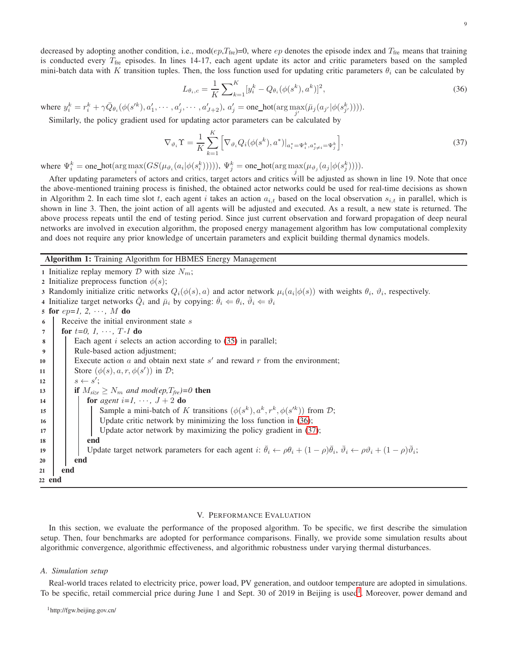decreased by adopting another condition, i.e.,  $mod(ep,T_{\text{fre}})=0$ , where  $ep$  denotes the episode index and  $T_{\text{fre}}$  means that training is conducted every  $T_{\text{fre}}$  episodes. In lines 14-17, each agent update its actor and critic parameters based on the sampled mini-batch data with K transition tuples. Then, the loss function used for updating critic parameters  $\theta_i$  can be calculated by

<span id="page-8-3"></span><span id="page-8-2"></span>
$$
L_{\theta_i,c} = \frac{1}{K} \sum_{k=1}^{K} [y_i^k - Q_{\theta_i}(\phi(s^k), a^k)]^2,
$$
\n(36)

where  $y_i^k = r_i^k + \gamma \bar{Q}_{\theta_i}(\phi(s'^k), a'_1, \dots, a'_j, \dots, a'_{J+2}), a'_j = \text{one\_hot}(\arg \max_{j'}(\bar{\mu}_j(a_{j'}|\phi(s_{j'}^k))))$ .

Similarly, the policy gradient used for updating actor parameters can be calculated by

$$
\nabla_{\vartheta_i} \Upsilon = \frac{1}{K} \sum_{k=1}^{K} \left[ \nabla_{\vartheta_i} Q_i(\phi(s^k), a^*) \big|_{a_i^* = \Psi_i^k, a_{j \neq i}^* = \Psi_j^k} \right],\tag{37}
$$

where  $\Psi_i^k = \text{one\_hot}(\arg \max_i (GS(\mu_{\vartheta_i}(a_i|\phi(s_i^k))))), \Psi_j^k = \text{one\_hot}(\arg \max_j (\mu_{\vartheta_j}(a_j|\phi(s_j^k))))).$ 

After updating parameters of actors and critics, target actors and critics will be adjusted as shown in line 19. Note that once the above-mentioned training process is finished, the obtained actor networks could be used for real-time decisions as shown in Algorithm 2. In each time slot t, each agent i takes an action  $a_{i,t}$  based on the local observation  $s_{i,t}$  in parallel, which is shown in line 3. Then, the joint action of all agents will be adjusted and executed. As a result, a new state is returned. The above process repeats until the end of testing period. Since just current observation and forward propagation of deep neural networks are involved in execution algorithm, the proposed energy management algorithm has low computational complexity and does not require any prior knowledge of uncertain parameters and explicit building thermal dynamics models.

# <span id="page-8-1"></span>Algorithm 1: Training Algorithm for HBMES Energy Management

1 Initialize replay memory  $\mathcal D$  with size  $N_m$ ; 2 Initialize preprocess function  $\phi(s)$ ; 3 Randomly initialize critic networks  $Q_i(\phi(s), a)$  and actor network  $\mu_i(a_i|\phi(s))$  with weights  $\theta_i$ ,  $\vartheta_i$ , respectively. 4 Initialize target networks  $\overline{Q}_i$  and  $\overline{\mu}_i$  by copying:  $\overline{\theta}_i \leftarrow \theta_i$ ,  $\overline{\theta}_i \leftarrow \theta_i$ 5 for  $ep=1, 2, \cdots, M$  do <sup>6</sup> Receive the initial environment state s 7 **for**  $t=0, 1, \cdots, T-1$  do 8 Each agent *i* selects an action according to [\(35\)](#page-7-0) in parallel; <sup>9</sup> Rule-based action adjustment; 10 Execute action a and obtain next state  $s'$  and reward r from the environment; 11 Store  $(\phi(s), a, r, \phi(s'))$  in  $\mathcal{D}$ ; 12  $s \leftarrow s'$ ; 13 if  $M_{size} \geq N_m$  *and mod(ep,T<sub>fre</sub>*)=0 **then** 14 **for** agent  $i=1, \dots, J+2$  do 15 Sample a mini-batch of K transitions  $(\phi(s^k), a^k, r^k, \phi(s'^k))$  from D; 16 | | Update critic network by minimizing the loss function in [\(36\)](#page-8-2); 17 | | Update actor network by maximizing the policy gradient in [\(37\)](#page-8-3);  $18$   $\parallel$   $\parallel$  end 19 | Update target network parameters for each agent  $i: \bar{\theta}_i \leftarrow \rho \theta_i + (1 - \rho)\bar{\theta}_i$ ,  $\bar{\vartheta}_i \leftarrow \rho \vartheta_i + (1 - \rho)\bar{\vartheta}_i$ ; 20 **end**  $21$  end 22 end

# V. PERFORMANCE EVALUATION

<span id="page-8-0"></span>In this section, we evaluate the performance of the proposed algorithm. To be specific, we first describe the simulation setup. Then, four benchmarks are adopted for performance comparisons. Finally, we provide some simulation results about algorithmic convergence, algorithmic effectiveness, and algorithmic robustness under varying thermal disturbances.

#### *A. Simulation setup*

Real-world traces related to electricity price, power load, PV generation, and outdoor temperature are adopted in simulations. To be specific, retail commercial price during June [1](#page-8-4) and Sept. 30 of 2019 in Beijing is used<sup>1</sup>. Moreover, power demand and

<span id="page-8-4"></span><sup>1</sup>http://fgw.beijing.gov.cn/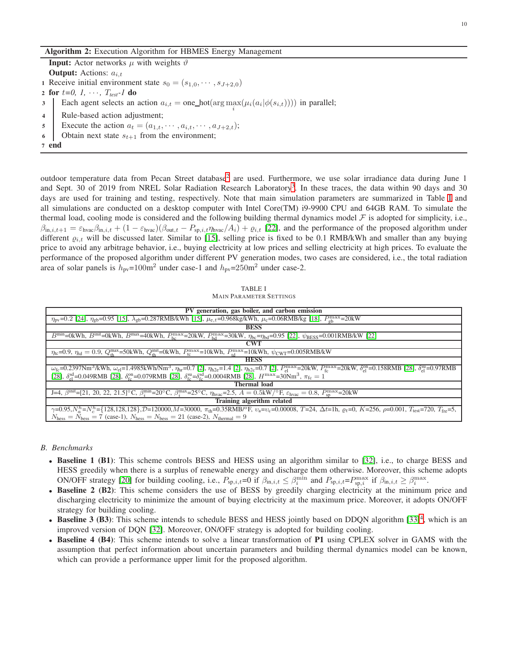### <span id="page-9-0"></span>Algorithm 2: Execution Algorithm for HBMES Energy Management

**Input:** Actor networks  $\mu$  with weights  $\vartheta$ **Output:** Actions:  $a_{i,t}$ 1 Receive initial environment state  $s_0 = (s_{1,0}, \dots, s_{J+2,0})$ 2 for  $t=0, 1, \cdots, T_{test}$ -1 do 3 Each agent selects an action  $a_{i,t} = \text{one\_hot}(\arg \max_i (\mu_i(a_i | \phi(s_{i,t}))))$  in parallel; 4 Rule-based action adjustment; 5 Execute the action  $a_t = (a_{1,t}, \cdots, a_{i,t}, \cdots, a_{J+2,t});$ 6 Obtain next state  $s_{t+1}$  from the environment; 7 end

outdoor temperature data from Pecan Street database<sup>[2](#page-10-0)</sup> are used. Furthermore, we use solar irradiance data during June 1 and Sept. [3](#page-10-1)0 of 2019 from NREL Solar Radiation Research Laboratory<sup>3</sup>. In these traces, the data within 90 days and 30 days are used for training and testing, respectively. Note that main simulation parameters are summarized in Table [I](#page-9-1) and all simulations are conducted on a desktop computer with Intel Core(TM) i9-9900 CPU and 64GB RAM. To simulate the thermal load, cooling mode is considered and the following building thermal dynamics model  $\mathcal F$  is adopted for simplicity, i.e.,  $\beta_{\text{in},i,t+1} = \varepsilon_{\text{hvac}} \beta_{\text{in},i,t} + (1 - \varepsilon_{\text{hvac}}) (\beta_{\text{out},t} - P_{\text{sp},i,t} \eta_{\text{hvac}}/A_i) + \varrho_{i,t}$  [\[22\]](#page-12-20), and the performance of the proposed algorithm under different  $\rho_{i,t}$  will be discussed later. Similar to [\[15\]](#page-12-13), selling price is fixed to be 0.1 RMB/kWh and smaller than any buying price to avoid any arbitrage behavior, i.e., buying electricity at low prices and selling electricity at high prices. To evaluate the performance of the proposed algorithm under different PV generation modes, two cases are considered, i.e., the total radiation area of solar panels is  $h_{\text{pv}}=100\text{m}^2$  under case-1 and  $h_{\text{pv}}=250\text{m}^2$  under case-2.

TABLE I MAIN PARAMETER SETTINGS

<span id="page-9-1"></span>

| PV generation, gas boiler, and carbon emission                                                                                                                                                                                                                                                                            |  |  |  |  |  |  |  |  |
|---------------------------------------------------------------------------------------------------------------------------------------------------------------------------------------------------------------------------------------------------------------------------------------------------------------------------|--|--|--|--|--|--|--|--|
| $\eta_{\text{pv}}$ =0.2 [24], $\eta_{\text{gb}}$ =0.95 [15], $\lambda_{\text{gb}}$ =0.287RMB/kWh [15], $\mu_{\text{e}}$ , t=0.968kg/kWh, $\mu_{\text{c}}$ =0.06RMB/kg [18], $P_{\text{th}}^{\text{max}}$ =20kW                                                                                                            |  |  |  |  |  |  |  |  |
| <b>BESS</b>                                                                                                                                                                                                                                                                                                               |  |  |  |  |  |  |  |  |
| $B^{\min}$ =0kWh, $B^{\min}$ =0kWh, $B^{\max}$ =40kWh, $P_{bc}^{\max}$ =20kW, $P_{bd}^{\max}$ =30kW, $\eta_{bc}$ = $\eta_{bd}$ =0.95 [22], $\psi_{BESS}$ =0.001RMB/kW [22]                                                                                                                                                |  |  |  |  |  |  |  |  |
| <b>CWT</b>                                                                                                                                                                                                                                                                                                                |  |  |  |  |  |  |  |  |
| $\eta_{\text{tc}}=0.9$ , $\eta_{\text{td}}=0.9$ , $Q_{\text{th}}^{\text{max}}=50$ kWh, $Q_{\text{th}}^{\text{init}}=0$ kWh, $P_{\text{tc}}^{\text{max}}=10$ kWh, $P_{\text{td}}^{\text{max}}=10$ kWh, $\psi_{\text{CWT}}=0.005$ RMB/kW                                                                                    |  |  |  |  |  |  |  |  |
| <b>HESS</b>                                                                                                                                                                                                                                                                                                               |  |  |  |  |  |  |  |  |
| $\omega_{\rm fc}$ =0.2397Nm <sup>3</sup> /kWh, $\omega_{\rm el}$ =1.4985kWh/Nm <sup>3</sup> , $\eta_{\rm hr}$ =0.7 [2], $\eta_{\rm h2c}$ =1.4 [2], $\eta_{\rm h2c}$ =0.7 [2], $P_{\rm el}^{\rm max}$ =20kW, $P_{\rm fc}^{\rm max}$ =20kW, $\delta_{\rm el}^{\rm el}$ =0.158RMB [28], $\delta_{\rm el}^{\rm sil}$ =0.97RMB |  |  |  |  |  |  |  |  |
| [28], $\delta_{el}^{sd}$ =0.049RMB [28], $\delta_{fc}^{on}$ =0.079RMB [28], $\delta_{fc}^{su}$ = $\delta_{fc}^{sd}$ =0.0004RMB [28], $H^{\max}$ =30Nm <sup>3</sup> , $\pi_{fc} = 1$                                                                                                                                       |  |  |  |  |  |  |  |  |
| Thermal load                                                                                                                                                                                                                                                                                                              |  |  |  |  |  |  |  |  |
| J=4, $\beta$ <sup>init</sup> =[21, 20, 22, 21.5]°C, $\beta_i^{\min}$ =20°C, $\beta_i^{\max}$ =25°C, $\eta_{\text{hvac}}$ =2.5, $A = 0.5 \text{kW}/^{\circ} \text{F}$ , $\varepsilon_{\text{hvac}} = 0.8$ , $P_{\text{sp}}^{\max}$ =20kW                                                                                   |  |  |  |  |  |  |  |  |
| Training algorithm related                                                                                                                                                                                                                                                                                                |  |  |  |  |  |  |  |  |
| $\gamma = 0.95$ , $N_a^h = N_c^h = \{128, 128, 128\}$ , $D = 120000$ , $M = 30000$ , $\pi_h = 0.35$ RMB/°F, $v_a = v_c = 0.00008$ , $T = 24$ , $\Delta t = 1$ h, $\varrho_t = 0$ , $K = 256$ , $\rho = 0.001$ , $T_{\text{test}} = 720$ , $T_{\text{free}} = 5$ ,                                                         |  |  |  |  |  |  |  |  |
| $N_{\text{hess}} = N_{\text{bess}} = 7$ (case-1), $N_{\text{hess}} = N_{\text{bess}} = 21$ (case-2), $N_{\text{thermal}} = 9$                                                                                                                                                                                             |  |  |  |  |  |  |  |  |
|                                                                                                                                                                                                                                                                                                                           |  |  |  |  |  |  |  |  |

## *B. Benchmarks*

- Baseline 1 (B1): This scheme controls BESS and HESS using an algorithm similar to [\[32\]](#page-12-31), i.e., to charge BESS and HESS greedily when there is a surplus of renewable energy and discharge them otherwise. Moreover, this scheme adopts ON/OFF strategy [\[20\]](#page-12-19) for building cooling, i.e.,  $P_{\text{sp},i,t}=0$  if  $\beta_{\text{in},i,t} \leq \beta_i^{\text{min}}$  and  $P_{\text{sp},i,t}=P_{\text{sp},i}^{\text{max}}$  if  $\beta_{\text{in},i,t} \geq \beta_i^{\text{max}}$ .
- Baseline 2 (B2): This scheme considers the use of BESS by greedily charging electricity at the minimum price and discharging electricity to minimize the amount of buying electricity at the maximum price. Moreover, it adopts ON/OFF strategy for building cooling.
- Baseline 3 (B3): This scheme intends to schedule BESS and HESS jointly based on DDQN algorithm [\[33\]](#page-12-32)<sup>[4](#page-10-2)</sup>, which is an improved version of DQN [\[32\]](#page-12-31). Moreover, ON/OFF strategy is adopted for building cooling.
- Baseline 4 (B4): This scheme intends to solve a linear transformation of P1 using CPLEX solver in GAMS with the assumption that perfect information about uncertain parameters and building thermal dynamics model can be known, which can provide a performance upper limit for the proposed algorithm.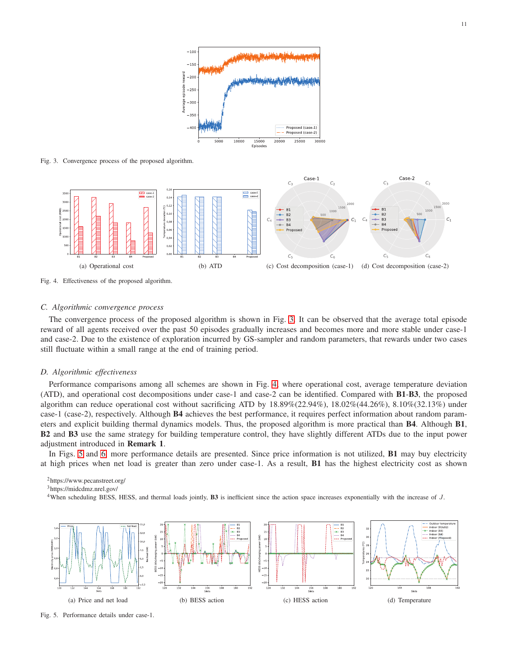

Fig. 3. Convergence process of the proposed algorithm.

<span id="page-10-3"></span>

<span id="page-10-4"></span>Fig. 4. Effectiveness of the proposed algorithm.

# *C. Algorithmic convergence process*

The convergence process of the proposed algorithm is shown in Fig. [3.](#page-10-3) It can be observed that the average total episode reward of all agents received over the past 50 episodes gradually increases and becomes more and more stable under case-1 and case-2. Due to the existence of exploration incurred by GS-sampler and random parameters, that rewards under two cases still fluctuate within a small range at the end of training period.

### *D. Algorithmic effectiveness*

Performance comparisons among all schemes are shown in Fig. [4,](#page-10-4) where operational cost, average temperature deviation (ATD), and operational cost decompositions under case-1 and case-2 can be identified. Compared with B1-B3, the proposed algorithm can reduce operational cost without sacrificing ATD by 18.89%(22.94%), 18.02%(44.26%), 8.10%(32.13%) under case-1 (case-2), respectively. Although B4 achieves the best performance, it requires perfect information about random parameters and explicit building thermal dynamics models. Thus, the proposed algorithm is more practical than B4. Although B1, B2 and B3 use the same strategy for building temperature control, they have slightly different ATDs due to the input power adjustment introduced in Remark 1.

In Figs. [5](#page-10-5) and [6,](#page-11-1) more performance details are presented. Since price information is not utilized, **B1** may buy electricity at high prices when net load is greater than zero under case-1. As a result, B1 has the highest electricity cost as shown

<sup>2</sup>https://www.pecanstreet.org/

<span id="page-10-0"></span><sup>3</sup>https://midcdmz.nrel.gov/

<span id="page-10-2"></span><span id="page-10-1"></span><sup>4</sup>When scheduling BESS, HESS, and thermal loads jointly, **B3** is inefficient since the action space increases exponentially with the increase of J.



<span id="page-10-5"></span>Fig. 5. Performance details under case-1.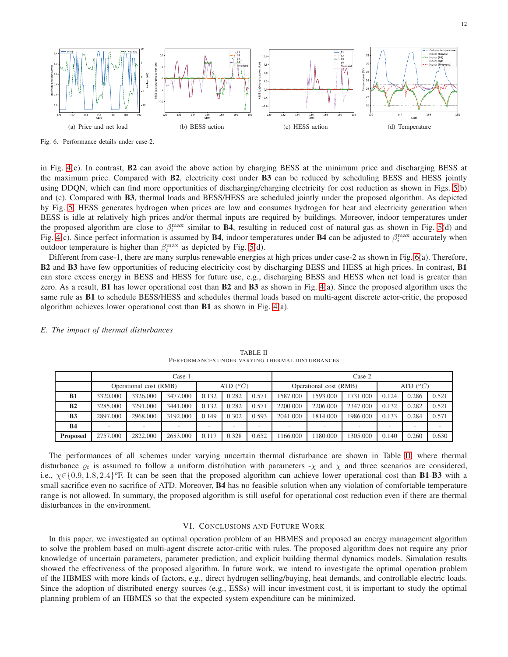

<span id="page-11-1"></span>Fig. 6. Performance details under case-2.

in Fig. [4\(](#page-10-4)c). In contrast, B2 can avoid the above action by charging BESS at the minimum price and discharging BESS at the maximum price. Compared with **B2**, electricity cost under **B3** can be reduced by scheduling BESS and HESS jointly using DDQN, which can find more opportunities of discharging/charging electricity for cost reduction as shown in Figs. [5\(](#page-10-5)b) and (c). Compared with B3, thermal loads and BESS/HESS are scheduled jointly under the proposed algorithm. As depicted by Fig. [5,](#page-10-5) HESS generates hydrogen when prices are low and consumes hydrogen for heat and electricity generation when BESS is idle at relatively high prices and/or thermal inputs are required by buildings. Moreover, indoor temperatures under the proposed algorithm are close to  $\beta_i^{\max}$  similar to **B4**, resulting in reduced cost of natural gas as shown in Fig. [5\(](#page-10-5)d) and Fig. [4\(](#page-10-4)c). Since perfect information is assumed by **B4**, indoor temperatures under **B4** can be adjusted to  $\beta_i^{\max}$  accurately when outdoor temperature is higher than  $\beta_i^{\max}$  as depicted by Fig. [5\(](#page-10-5)d).

Different from case-1, there are many surplus renewable energies at high prices under case-2 as shown in Fig. [6\(](#page-11-1)a). Therefore, B2 and B3 have few opportunities of reducing electricity cost by discharging BESS and HESS at high prices. In contrast, B1 can store excess energy in BESS and HESS for future use, e.g., discharging BESS and HESS when net load is greater than zero. As a result, **B1** has lower operational cost than **B2** and **B3** as shown in Fig.  $4(a)$ . Since the proposed algorithm uses the same rule as B1 to schedule BESS/HESS and schedules thermal loads based on multi-agent discrete actor-critic, the proposed algorithm achieves lower operational cost than B1 as shown in Fig. [4\(](#page-10-4)a).

# *E. The impact of thermal disturbances*

<span id="page-11-2"></span>

|                 | Case-1                   |          |          |                   |       |       | $Case-2$                 |          |          |                   |       |       |
|-----------------|--------------------------|----------|----------|-------------------|-------|-------|--------------------------|----------|----------|-------------------|-------|-------|
|                 | Operational cost (RMB)   |          |          | ATD $(^{\circ}C)$ |       |       | Operational cost (RMB)   |          |          | ATD $(^{\circ}C)$ |       |       |
| <b>B1</b>       | 3320.000                 | 3326.000 | 3477.000 | 0.132             | 0.282 | 0.571 | 1587.000                 | 1593.000 | 1731.000 | 0.124             | 0.286 | 0.521 |
| B2              | 3285.000                 | 3291.000 | 3441.000 | 0.132             | 0.282 | 0.571 | 2200.000                 | 2206.000 | 2347.000 | 0.132             | 0.282 | 0.521 |
| <b>B3</b>       | 2897.000                 | 2968.000 | 3192.000 | 0.149             | 0.302 | 0.593 | 2041.000                 | 1814.000 | 1986.000 | 0.133             | 0.284 | 0.571 |
| <b>B4</b>       | $\overline{\phantom{a}}$ |          | -        |                   |       |       | $\overline{\phantom{a}}$ |          | ۰        |                   |       |       |
| <b>Proposed</b> | 2757.000                 | 2822,000 | 2683,000 | 0.117             | 0.328 | 0.652 | 1166.000                 | 1180.000 | 1305.000 | 0.140             | 0.260 | 0.630 |

TABLE II PERFORMANCES UNDER VARYING THERMAL DISTURBANCES

The performances of all schemes under varying uncertain thermal disturbance are shown in Table [II,](#page-11-2) where thermal disturbance  $\varrho_t$  is assumed to follow a uniform distribution with parameters  $-\chi$  and  $\chi$  and three scenarios are considered, i.e.,  $\chi \in \{0.9, 1.8, 2.4\}$ <sup>o</sup>F. It can be seen that the proposed algorithm can achieve lower operational cost than **B1-B3** with a small sacrifice even no sacrifice of ATD. Moreover, **B4** has no feasible solution when any violation of comfortable temperature range is not allowed. In summary, the proposed algorithm is still useful for operational cost reduction even if there are thermal disturbances in the environment.

# VI. CONCLUSIONS AND FUTURE WORK

<span id="page-11-0"></span>In this paper, we investigated an optimal operation problem of an HBMES and proposed an energy management algorithm to solve the problem based on multi-agent discrete actor-critic with rules. The proposed algorithm does not require any prior knowledge of uncertain parameters, parameter prediction, and explicit building thermal dynamics models. Simulation results showed the effectiveness of the proposed algorithm. In future work, we intend to investigate the optimal operation problem of the HBMES with more kinds of factors, e.g., direct hydrogen selling/buying, heat demands, and controllable electric loads. Since the adoption of distributed energy sources (e.g., ESSs) will incur investment cost, it is important to study the optimal planning problem of an HBMES so that the expected system expenditure can be minimized.